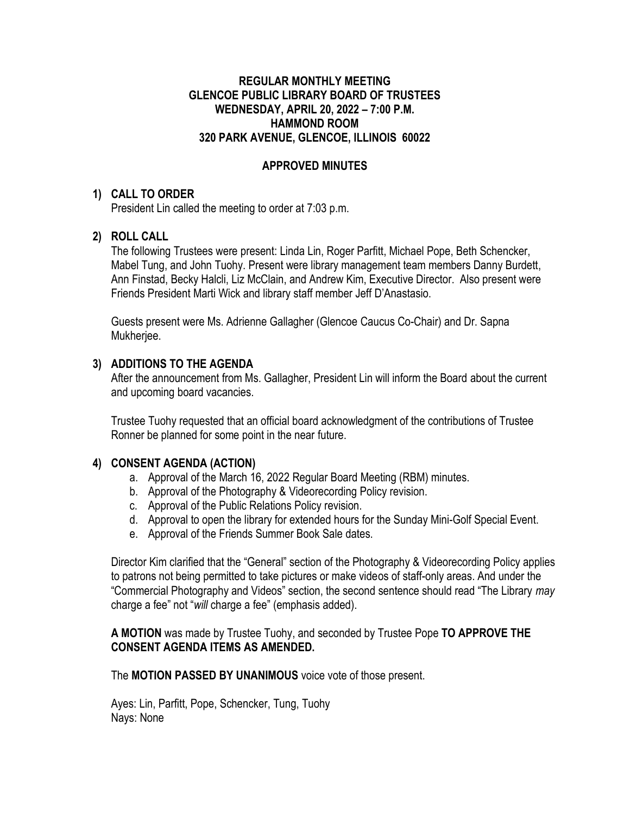#### **REGULAR MONTHLY MEETING GLENCOE PUBLIC LIBRARY BOARD OF TRUSTEES WEDNESDAY, APRIL 20, 2022 – 7:00 P.M. HAMMOND ROOM 320 PARK AVENUE, GLENCOE, ILLINOIS 60022**

## **APPROVED MINUTES**

#### **1) CALL TO ORDER**

President Lin called the meeting to order at 7:03 p.m.

### **2) ROLL CALL**

The following Trustees were present: Linda Lin, Roger Parfitt, Michael Pope, Beth Schencker, Mabel Tung, and John Tuohy. Present were library management team members Danny Burdett, Ann Finstad, Becky Halcli, Liz McClain, and Andrew Kim, Executive Director. Also present were Friends President Marti Wick and library staff member Jeff D'Anastasio.

Guests present were Ms. Adrienne Gallagher (Glencoe Caucus Co-Chair) and Dr. Sapna Mukherjee.

### **3) ADDITIONS TO THE AGENDA**

After the announcement from Ms. Gallagher, President Lin will inform the Board about the current and upcoming board vacancies.

Trustee Tuohy requested that an official board acknowledgment of the contributions of Trustee Ronner be planned for some point in the near future.

### **4) CONSENT AGENDA (ACTION)**

- a. Approval of the March 16, 2022 Regular Board Meeting (RBM) minutes.
- b. Approval of the Photography & Videorecording Policy revision.
- c. Approval of the Public Relations Policy revision.
- d. Approval to open the library for extended hours for the Sunday Mini-Golf Special Event.
- e. Approval of the Friends Summer Book Sale dates.

Director Kim clarified that the "General" section of the Photography & Videorecording Policy applies to patrons not being permitted to take pictures or make videos of staff-only areas. And under the "Commercial Photography and Videos" section, the second sentence should read "The Library *may* charge a fee" not "*will* charge a fee" (emphasis added).

#### **A MOTION** was made by Trustee Tuohy, and seconded by Trustee Pope **TO APPROVE THE CONSENT AGENDA ITEMS AS AMENDED.**

The **MOTION PASSED BY UNANIMOUS** voice vote of those present.

Ayes: Lin, Parfitt, Pope, Schencker, Tung, Tuohy Nays: None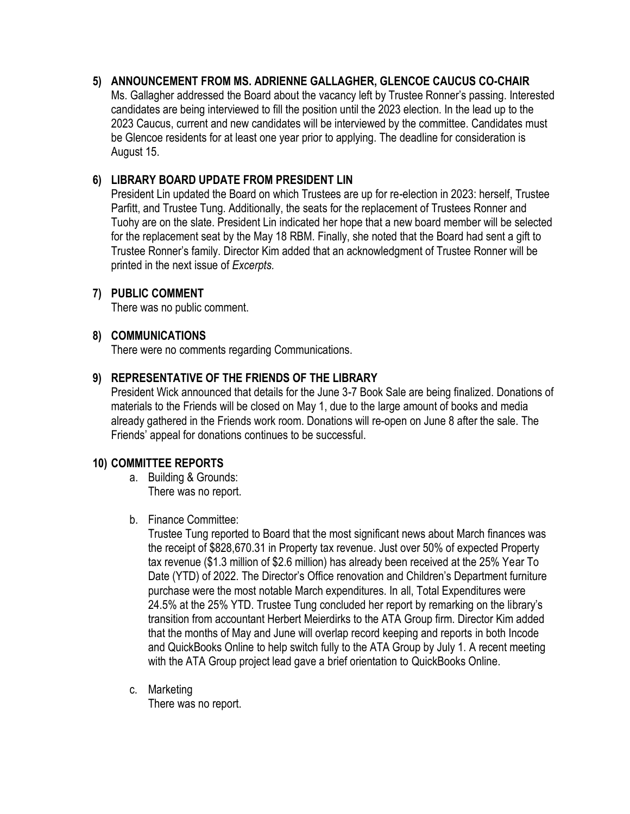## **5) ANNOUNCEMENT FROM MS. ADRIENNE GALLAGHER, GLENCOE CAUCUS CO-CHAIR**

Ms. Gallagher addressed the Board about the vacancy left by Trustee Ronner's passing. Interested candidates are being interviewed to fill the position until the 2023 election. In the lead up to the 2023 Caucus, current and new candidates will be interviewed by the committee. Candidates must be Glencoe residents for at least one year prior to applying. The deadline for consideration is August 15.

# **6) LIBRARY BOARD UPDATE FROM PRESIDENT LIN**

President Lin updated the Board on which Trustees are up for re-election in 2023: herself, Trustee Parfitt, and Trustee Tung. Additionally, the seats for the replacement of Trustees Ronner and Tuohy are on the slate. President Lin indicated her hope that a new board member will be selected for the replacement seat by the May 18 RBM. Finally, she noted that the Board had sent a gift to Trustee Ronner's family. Director Kim added that an acknowledgment of Trustee Ronner will be printed in the next issue of *Excerpts.*

### **7) PUBLIC COMMENT**

There was no public comment.

## **8) COMMUNICATIONS**

There were no comments regarding Communications.

## **9) REPRESENTATIVE OF THE FRIENDS OF THE LIBRARY**

President Wick announced that details for the June 3-7 Book Sale are being finalized. Donations of materials to the Friends will be closed on May 1, due to the large amount of books and media already gathered in the Friends work room. Donations will re-open on June 8 after the sale. The Friends' appeal for donations continues to be successful.

### **10) COMMITTEE REPORTS**

- a. Building & Grounds: There was no report.
- b. Finance Committee:

Trustee Tung reported to Board that the most significant news about March finances was the receipt of \$828,670.31 in Property tax revenue. Just over 50% of expected Property tax revenue (\$1.3 million of \$2.6 million) has already been received at the 25% Year To Date (YTD) of 2022. The Director's Office renovation and Children's Department furniture purchase were the most notable March expenditures. In all, Total Expenditures were 24.5% at the 25% YTD. Trustee Tung concluded her report by remarking on the library's transition from accountant Herbert Meierdirks to the ATA Group firm. Director Kim added that the months of May and June will overlap record keeping and reports in both Incode and QuickBooks Online to help switch fully to the ATA Group by July 1. A recent meeting with the ATA Group project lead gave a brief orientation to QuickBooks Online.

c. Marketing

There was no report.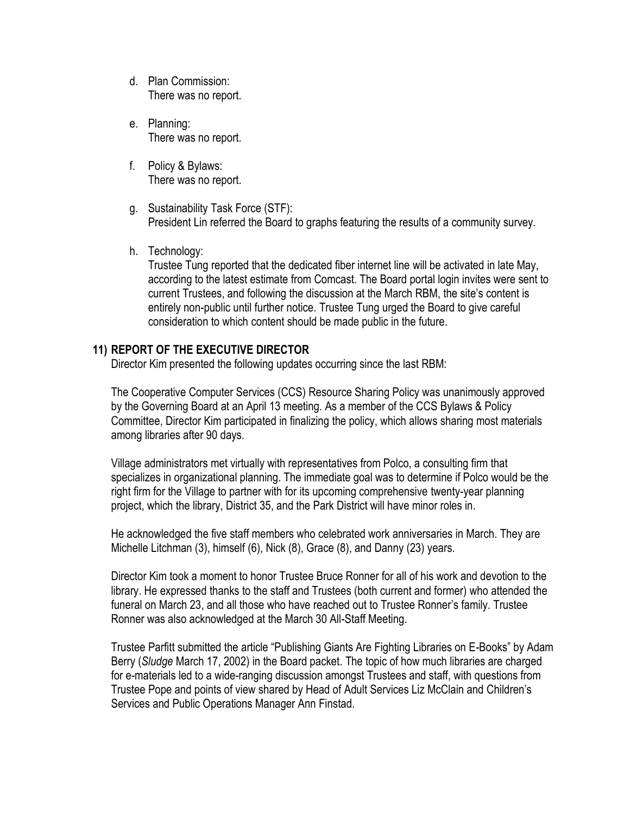- d. Plan Commission: There was no report.
- e. Planning: There was no report.
- f. Policy & Bylaws: There was no report.
- g. Sustainability Task Force (STF): President Lin referred the Board to graphs featuring the results of a community survey.
- h. Technology:

Trustee Tung reported that the dedicated fiber internet line will be activated in late May, according to the latest estimate from Comcast. The Board portal login invites were sent to current Trustees, and following the discussion at the March RBM, the site's content is entirely non-public until further notice. Trustee Tung urged the Board to give careful consideration to which content should be made public in the future.

### **11) REPORT OF THE EXECUTIVE DIRECTOR**

Director Kim presented the following updates occurring since the last RBM:

The Cooperative Computer Services (CCS) Resource Sharing Policy was unanimously approved by the Governing Board at an April 13 meeting. As a member of the CCS Bylaws & Policy Committee, Director Kim participated in finalizing the policy, which allows sharing most materials among libraries after 90 days.

Village administrators met virtually with representatives from Polco, a consulting firm that specializes in organizational planning. The immediate goal was to determine if Polco would be the right firm for the Village to partner with for its upcoming comprehensive twenty-year planning project, which the library, District 35, and the Park District will have minor roles in.

He acknowledged the five staff members who celebrated work anniversaries in March. They are Michelle Litchman (3), himself (6), Nick (8), Grace (8), and Danny (23) years.

Director Kim took a moment to honor Trustee Bruce Ronner for all of his work and devotion to the library. He expressed thanks to the staff and Trustees (both current and former) who attended the funeral on March 23, and all those who have reached out to Trustee Ronner's family. Trustee Ronner was also acknowledged at the March 30 All-Staff Meeting.

Trustee Parfitt submitted the article "Publishing Giants Are Fighting Libraries on E-Books" by Adam Berry (*Sludge* March 17, 2002) in the Board packet. The topic of how much libraries are charged for e-materials led to a wide-ranging discussion amongst Trustees and staff, with questions from Trustee Pope and points of view shared by Head of Adult Services Liz McClain and Children's Services and Public Operations Manager Ann Finstad.